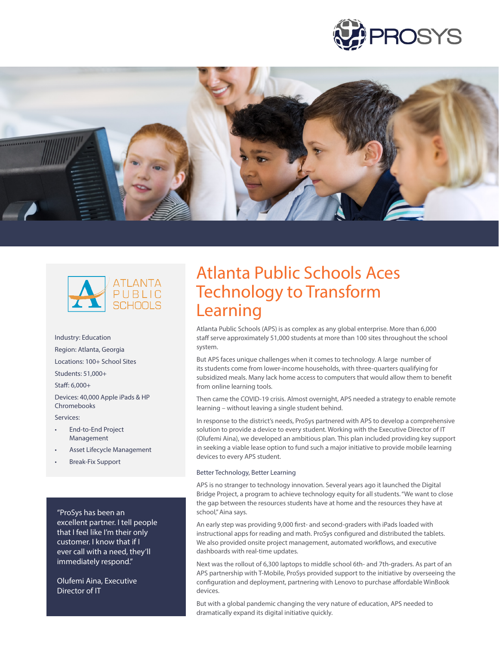





Industry: Education Region: Atlanta, Georgia Locations: 100+ School Sites Students: 51,000+ Staff: 6,000+

Devices: 40,000 Apple iPads & HP Chromebooks

Services:

- End-to-End Project Management
- Asset Lifecycle Management
- Break-Fix Support

"ProSys has been an excellent partner. I tell people that I feel like I'm their only customer. I know that if I ever call with a need, they'll immediately respond."

Olufemi Aina, Executive Director of IT

# Atlanta Public Schools Aces Technology to Transform Learning

Atlanta Public Schools (APS) is as complex as any global enterprise. More than 6,000 staff serve approximately 51,000 students at more than 100 sites throughout the school system.

But APS faces unique challenges when it comes to technology. A large number of its students come from lower-income households, with three-quarters qualifying for subsidized meals. Many lack home access to computers that would allow them to benefit from online learning tools.

Then came the COVID-19 crisis. Almost overnight, APS needed a strategy to enable remote learning – without leaving a single student behind.

In response to the district's needs, ProSys partnered with APS to develop a comprehensive solution to provide a device to every student. Working with the Executive Director of IT (Olufemi Aina), we developed an ambitious plan. This plan included providing key support in seeking a viable lease option to fund such a major initiative to provide mobile learning devices to every APS student.

#### Better Technology, Better Learning

APS is no stranger to technology innovation. Several years ago it launched the Digital Bridge Project, a program to achieve technology equity for all students. "We want to close the gap between the resources students have at home and the resources they have at school," Aina says.

An early step was providing 9,000 first- and second-graders with iPads loaded with instructional apps for reading and math. ProSys configured and distributed the tablets. We also provided onsite project management, automated workflows, and executive dashboards with real-time updates.

Next was the rollout of 6,300 laptops to middle school 6th- and 7th-graders. As part of an APS partnership with T-Mobile, ProSys provided support to the initiative by overseeing the configuration and deployment, partnering with Lenovo to purchase affordable WinBook devices.

But with a global pandemic changing the very nature of education, APS needed to dramatically expand its digital initiative quickly.